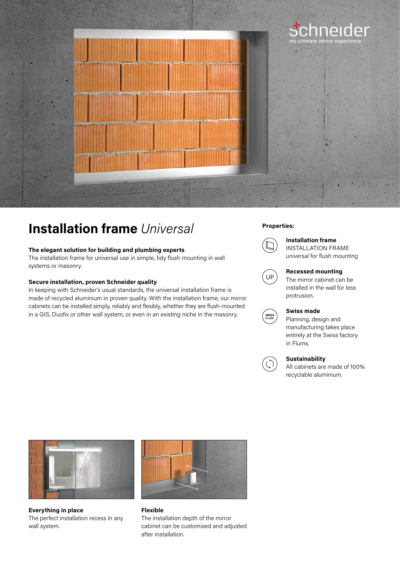

## **Properties: Installation frame** *Universal*

#### **The elegant solution for building and plumbing experts**

The installation frame for universal use in simple, tidy flush mounting in wall systems or masonry.

#### **Secure installation, proven Schneider quality**

In keeping with Schneider's usual standards, the universal installation frame is made of recycled aluminium in proven quality. With the installation frame, our mirror cabinets can be installed simply, reliably and flexibly, whether they are flush-mounted in a GIS, Duofix or other wall system, or even in an existing niche in the masonry.



### **Installation frame**

INSTALLATION FRAME *universal* for flush mounting



#### **Recessed mounting**

The mirror cabinet can be installed in the wall for less protrusion.



### **Swiss made**

Planning, design and manufacturing takes place entirely at the Swiss factory in Flums.



#### **Sustainability**

All cabinets are made of 100% recyclable aluminium.



**Everything in place** The perfect installation recess in any wall system.



**Flexible** The installation depth of the mirror cabinet can be customised and adjusted after installation.